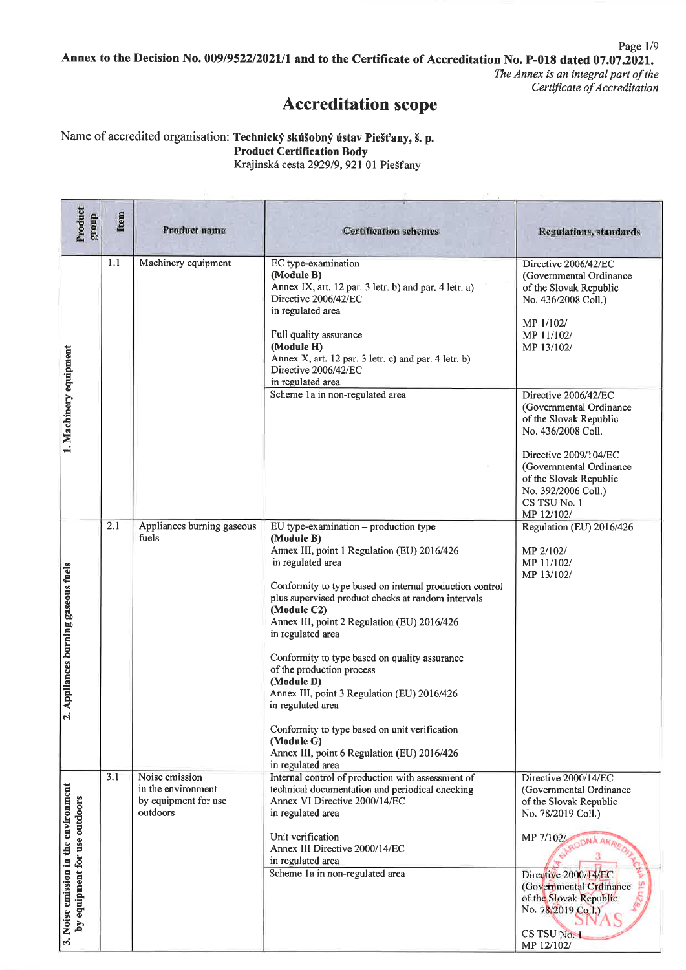Page 1/9 Annex to the Decision No. 009/9522/2021/1 and to the Certificate of Accreditation No. P-018 dated 07.07.2021. The Annex is an integral part of the

Certificate of Accreditation

### **Accreditation scope**

Name of accredited organisation: Technický skúšobný ústav Piešťany, š. p. **Product Certification Body** Krajinská cesta 2929/9, 921 01 Piešťany

| Product<br>group                     | Item | <b>Product name</b>                                                      | <b>Certification schemes</b>                                                                                                                                                                                                                                                         | <b>Regulations</b> , standards                                                                                                                                                                       |
|--------------------------------------|------|--------------------------------------------------------------------------|--------------------------------------------------------------------------------------------------------------------------------------------------------------------------------------------------------------------------------------------------------------------------------------|------------------------------------------------------------------------------------------------------------------------------------------------------------------------------------------------------|
|                                      |      |                                                                          |                                                                                                                                                                                                                                                                                      |                                                                                                                                                                                                      |
|                                      | 1.1  | Machinery equipment                                                      | EC type-examination<br>(Module B)<br>Annex IX, art. 12 par. 3 letr. b) and par. 4 letr. a)<br>Directive 2006/42/EC<br>in regulated area<br>Full quality assurance<br>(Module H)<br>Annex X, art. 12 par. 3 letr. c) and par. 4 letr. b)<br>Directive 2006/42/EC<br>in regulated area | Directive 2006/42/EC<br>(Governmental Ordinance<br>of the Slovak Republic<br>No. 436/2008 Coll.)<br>MP 1/102/<br>MP 11/102/<br>MP 13/102/                                                            |
| 1. Machinery equipment               |      |                                                                          | Scheme 1a in non-regulated area                                                                                                                                                                                                                                                      | Directive 2006/42/EC<br>(Governmental Ordinance<br>of the Slovak Republic<br>No. 436/2008 Coll.<br>Directive 2009/104/EC<br>(Governmental Ordinance<br>of the Slovak Republic<br>No. 392/2006 Coll.) |
|                                      |      |                                                                          |                                                                                                                                                                                                                                                                                      | CS TSU No. 1<br>MP 12/102/                                                                                                                                                                           |
|                                      | 2.1  | Appliances burning gaseous<br>fuels                                      | EU type-examination - production type<br>(Module B)                                                                                                                                                                                                                                  | Regulation (EU) 2016/426                                                                                                                                                                             |
| Appliances burning gaseous fuels     |      |                                                                          | Annex III, point 1 Regulation (EU) 2016/426<br>in regulated area<br>Conformity to type based on internal production control<br>plus supervised product checks at random intervals<br>(Module C2)<br>Annex III, point 2 Regulation (EU) 2016/426<br>in regulated area                 | MP 2/102/<br>MP 11/102/<br>MP 13/102/                                                                                                                                                                |
|                                      |      |                                                                          | Conformity to type based on quality assurance<br>of the production process<br>(Module D)<br>Annex III, point 3 Regulation (EU) 2016/426<br>in regulated area                                                                                                                         |                                                                                                                                                                                                      |
| $\mathbf{r}$                         |      |                                                                          | Conformity to type based on unit verification<br>(Module G)<br>Annex III, point 6 Regulation (EU) 2016/426<br>in regulated area                                                                                                                                                      |                                                                                                                                                                                                      |
|                                      | 3.1  | Noise emission<br>in the environment<br>by equipment for use<br>outdoors | Internal control of production with assessment of<br>technical documentation and periodical checking<br>Annex VI Directive 2000/14/EC<br>in regulated area                                                                                                                           | Directive 2000/14/EC<br>(Governmental Ordinance<br>of the Slovak Republic<br>No. 78/2019 Coll.)                                                                                                      |
| by equipment for use outdoors        |      |                                                                          | Unit verification<br>Annex III Directive 2000/14/EC<br>in regulated area<br>Scheme 1a in non-regulated area                                                                                                                                                                          | MP 7/102/<br>ODNÁ AKRE<br>Directive 2000/14/EC<br>(Governmental Ordinance                                                                                                                            |
| 3. Noise emission in the environment |      |                                                                          |                                                                                                                                                                                                                                                                                      | of the Slovak Republic<br>No. 78/2019 Coll.)<br>CS TSU No.<br>MP 12/102/                                                                                                                             |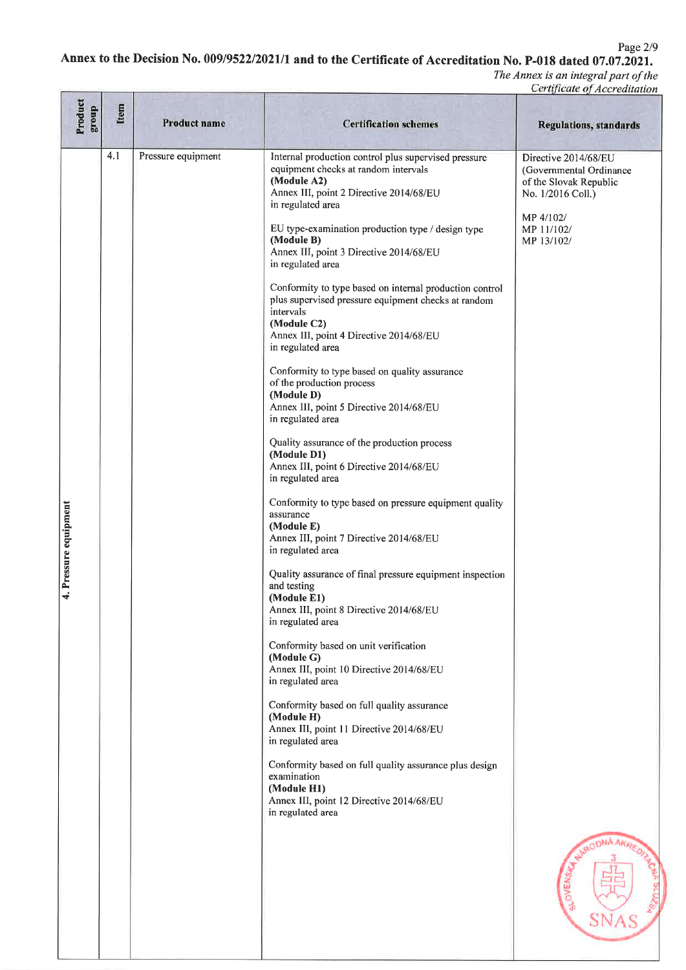Page 2/9

## Annex to the Decision No. 009/9522/2021/1 and to the Certificate of Accreditation No. P-018 dated 07.07.2021.

| Product<br>group      | Item | <b>Product name</b> | <b>Certification schemes</b>                                                                                                                                                                                                                                                                                                                                                                                                                                                                                                                                                                                                                                                                                                                                                                                                                                                                                                                                                                                                                                                                                                                                                                                                                                                                                                                                                                                                                                                                                                                        | <b>Regulations, standards</b>                                                                                                                    |
|-----------------------|------|---------------------|-----------------------------------------------------------------------------------------------------------------------------------------------------------------------------------------------------------------------------------------------------------------------------------------------------------------------------------------------------------------------------------------------------------------------------------------------------------------------------------------------------------------------------------------------------------------------------------------------------------------------------------------------------------------------------------------------------------------------------------------------------------------------------------------------------------------------------------------------------------------------------------------------------------------------------------------------------------------------------------------------------------------------------------------------------------------------------------------------------------------------------------------------------------------------------------------------------------------------------------------------------------------------------------------------------------------------------------------------------------------------------------------------------------------------------------------------------------------------------------------------------------------------------------------------------|--------------------------------------------------------------------------------------------------------------------------------------------------|
| 4. Pressure equipment | 4.1  | Pressure equipment  | Internal production control plus supervised pressure<br>equipment checks at random intervals<br>(Module A2)<br>Annex III, point 2 Directive 2014/68/EU<br>in regulated area<br>EU type-examination production type / design type<br>(Module B)<br>Annex III, point 3 Directive 2014/68/EU<br>in regulated area<br>Conformity to type based on internal production control<br>plus supervised pressure equipment checks at random<br>intervals<br>(Module C2)<br>Annex III, point 4 Directive 2014/68/EU<br>in regulated area<br>Conformity to type based on quality assurance<br>of the production process<br>(Module D)<br>Annex III, point 5 Directive 2014/68/EU<br>in regulated area<br>Quality assurance of the production process<br>(Module D1)<br>Annex III, point 6 Directive 2014/68/EU<br>in regulated area<br>Conformity to type based on pressure equipment quality<br>assurance<br>(Module E)<br>Annex III, point 7 Directive 2014/68/EU<br>in regulated area<br>Quality assurance of final pressure equipment inspection<br>and testing<br>(Module E1)<br>Annex III, point 8 Directive 2014/68/EU<br>in regulated area<br>Conformity based on unit verification<br>(Module G)<br>Annex III, point 10 Directive 2014/68/EU<br>in regulated area<br>Conformity based on full quality assurance<br>(Module H)<br>Annex III, point 11 Directive 2014/68/EU<br>in regulated area<br>Conformity based on full quality assurance plus design<br>examination<br>(Module H1)<br>Annex III, point 12 Directive 2014/68/EU<br>in regulated area | Directive 2014/68/EU<br>(Governmental Ordinance<br>of the Slovak Republic<br>No. 1/2016 Coll.)<br>MP 4/102/<br>MP 11/102/<br>MP 13/102/<br>OVENS |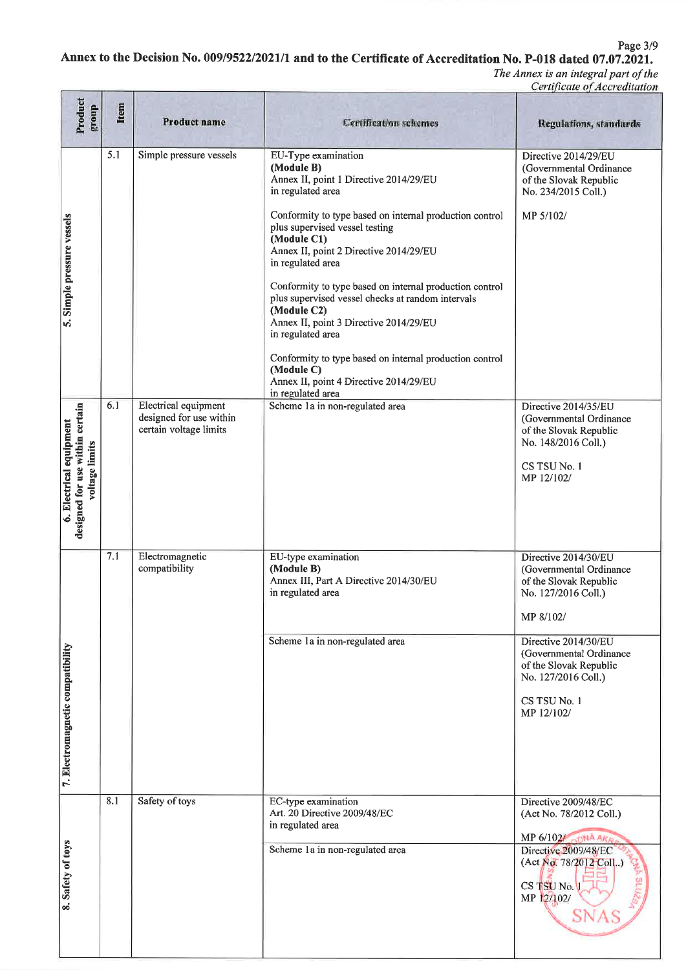Page 3/9

## Annex to the Decision No. 009/9522/2021/1 and to the Certificate of Accreditation No. P-018 dated 07.07.2021.

| Product<br>dno.fa                                                            | Item                                                                                                                                                                           | Product name                                                              | <b>Certification schemes</b>                                                                                                                                                                                                                                                                                                                                                                                                                                                                                                                                                                                      | <b>Regulations, standards</b>                                                                                                                                                                                                                   |  |
|------------------------------------------------------------------------------|--------------------------------------------------------------------------------------------------------------------------------------------------------------------------------|---------------------------------------------------------------------------|-------------------------------------------------------------------------------------------------------------------------------------------------------------------------------------------------------------------------------------------------------------------------------------------------------------------------------------------------------------------------------------------------------------------------------------------------------------------------------------------------------------------------------------------------------------------------------------------------------------------|-------------------------------------------------------------------------------------------------------------------------------------------------------------------------------------------------------------------------------------------------|--|
| 5. Simple pressure vessels                                                   | 5.1                                                                                                                                                                            | Simple pressure vessels                                                   | EU-Type examination<br>(Module B)<br>Annex II, point 1 Directive 2014/29/EU<br>in regulated area<br>Conformity to type based on internal production control<br>plus supervised vessel testing<br>(Module C1)<br>Annex II, point 2 Directive 2014/29/EU<br>in regulated area<br>Conformity to type based on internal production control<br>plus supervised vessel checks at random intervals<br>(Module C2)<br>Annex II, point 3 Directive 2014/29/EU<br>in regulated area<br>Conformity to type based on internal production control<br>(Module C)<br>Annex II, point 4 Directive 2014/29/EU<br>in regulated area | (Governmental Ordinance<br>of the Slovak Republic<br>No. 234/2015 Coll.)<br>MP 5/102/                                                                                                                                                           |  |
| designed for use within certain<br>6. Electrical equipment<br>voltage limits | 6.1                                                                                                                                                                            | Electrical equipment<br>designed for use within<br>certain voltage limits | Scheme 1a in non-regulated area<br>Directive 2014/35/EU<br>(Governmental Ordinance<br>of the Slovak Republic<br>No. 148/2016 Coll.)<br>CS TSU No. 1<br>MP 12/102/                                                                                                                                                                                                                                                                                                                                                                                                                                                 |                                                                                                                                                                                                                                                 |  |
| 7. Electromagnetic compatibility                                             | 7.1<br>Electromagnetic<br>EU-type examination<br>compatibility<br>(Module B)<br>Annex III, Part A Directive 2014/30/EU<br>in regulated area<br>Scheme 1a in non-regulated area |                                                                           |                                                                                                                                                                                                                                                                                                                                                                                                                                                                                                                                                                                                                   | Directive 2014/30/EU<br>(Governmental Ordinance<br>of the Slovak Republic<br>No. 127/2016 Coll.)<br>MP 8/102/<br>Directive 2014/30/EU<br>(Governmental Ordinance<br>of the Slovak Republic<br>No. 127/2016 Coll.)<br>CS TSU No. 1<br>MP 12/102/ |  |
| 8. Safety of toys                                                            | 8.1                                                                                                                                                                            | Safety of toys                                                            | EC-type examination<br>Art. 20 Directive 2009/48/EC<br>in regulated area<br>Scheme 1a in non-regulated area                                                                                                                                                                                                                                                                                                                                                                                                                                                                                                       | Directive 2009/48/EC<br>(Act No. 78/2012 Coll.)<br>MP 6/102 ODNA AKA<br>Directive 2009/48/EC<br>(Act No. 78/2012 Coll)<br>CS TSU No.<br>MP 12/102/                                                                                              |  |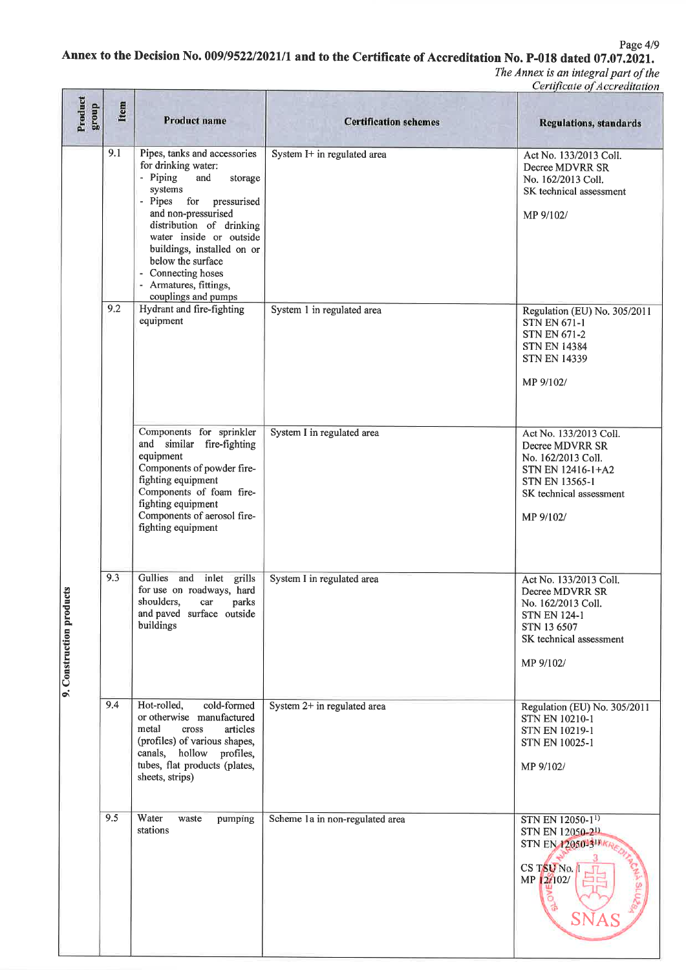Page 4/9

# Annex to the Decision No. 009/9522/2021/1 and to the Certificate of Accreditation No. P-018 dated 07.07.2021.

| Product<br>dno.fa        | Item | <b>Product name</b>                                                                                                                                                                                                                                                                                                                   | <b>Certification schemes</b>    | $\sim$<br><b>Regulations, standards</b>                                                                                                               |
|--------------------------|------|---------------------------------------------------------------------------------------------------------------------------------------------------------------------------------------------------------------------------------------------------------------------------------------------------------------------------------------|---------------------------------|-------------------------------------------------------------------------------------------------------------------------------------------------------|
| 9. Construction products | 9.1  | Pipes, tanks and accessories<br>for drinking water:<br>- Piping<br>and<br>storage<br>systems<br>- Pipes<br>for<br>pressurised<br>and non-pressurised<br>distribution of drinking<br>water inside or outside<br>buildings, installed on or<br>below the surface<br>- Connecting hoses<br>- Armatures, fittings,<br>couplings and pumps | System I+ in regulated area     | Act No. 133/2013 Coll.<br>Decree MDVRR SR<br>No. 162/2013 Coll.<br>SK technical assessment<br>MP 9/102/                                               |
|                          | 9.2  | Hydrant and fire-fighting<br>equipment                                                                                                                                                                                                                                                                                                | System 1 in regulated area      | Regulation (EU) No. 305/2011<br><b>STN EN 671-1</b><br><b>STN EN 671-2</b><br><b>STN EN 14384</b><br><b>STN EN 14339</b><br>MP 9/102/                 |
|                          |      | Components for sprinkler<br>and similar fire-fighting<br>equipment<br>Components of powder fire-<br>fighting equipment<br>Components of foam fire-<br>fighting equipment<br>Components of aerosol fire-<br>fighting equipment                                                                                                         | System I in regulated area      | Act No. 133/2013 Coll.<br>Decree MDVRR SR<br>No. 162/2013 Coll.<br>STN EN 12416-1+A2<br><b>STN EN 13565-1</b><br>SK technical assessment<br>MP 9/102/ |
|                          | 9.3  | Gullies and inlet grills<br>for use on roadways, hard<br>shoulders.<br>parks<br>car<br>and paved surface outside<br>buildings                                                                                                                                                                                                         | System I in regulated area      | Act No. 133/2013 Coll.<br>Decree MDVRR SR<br>No. 162/2013 Coll.<br><b>STN EN 124-1</b><br>STN 13 6507<br>SK technical assessment<br>MP 9/102/         |
|                          | 9.4  | Hot-rolled,<br>cold-formed<br>or otherwise manufactured<br>metal<br>cross<br>articles<br>(profiles) of various shapes,<br>canals, hollow profiles,<br>tubes, flat products (plates,<br>sheets, strips)                                                                                                                                | System 2+ in regulated area     | Regulation (EU) No. 305/2011<br><b>STN EN 10210-1</b><br>STN EN 10219-1<br><b>STN EN 10025-1</b><br>MP 9/102/                                         |
|                          | 9.5  | Water<br>waste<br>pumping<br>stations                                                                                                                                                                                                                                                                                                 | Scheme 1a in non-regulated area | STN EN 12050-1 <sup>1)</sup><br>STN EN 12050-211<br><b>STN EN 1205013 AKRED</b><br>CS TSU No.<br>MP 2/102/                                            |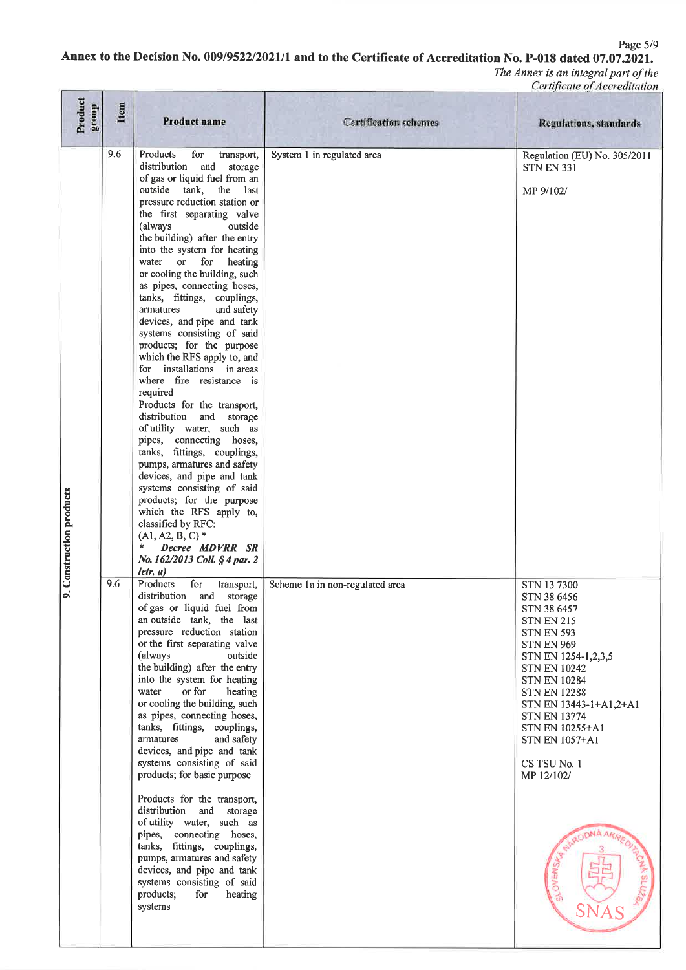Page 5/9

### Annex to the Decision No. 009/9522/2021/1 and to the Certificate of Accreditation No. P-018 dated 07.07.2021.

| Product<br>dno.fa        | <b>Item</b> | <b>Product name</b>                                                                                                                                                                                                                                                                                                                                                                                                                                                                                                                                                                                                                                                                                                                                                                                                                                                                                                                                                                                                                                           | <b>Certification schemes</b>    | <b>Regulations, standards</b>                                                                                                                                                                                                                                                                                                                                                        |
|--------------------------|-------------|---------------------------------------------------------------------------------------------------------------------------------------------------------------------------------------------------------------------------------------------------------------------------------------------------------------------------------------------------------------------------------------------------------------------------------------------------------------------------------------------------------------------------------------------------------------------------------------------------------------------------------------------------------------------------------------------------------------------------------------------------------------------------------------------------------------------------------------------------------------------------------------------------------------------------------------------------------------------------------------------------------------------------------------------------------------|---------------------------------|--------------------------------------------------------------------------------------------------------------------------------------------------------------------------------------------------------------------------------------------------------------------------------------------------------------------------------------------------------------------------------------|
| 9. Construction products | 9.6         | Products<br>for<br>transport,<br>distribution<br>and<br>storage<br>of gas or liquid fuel from an<br>outside tank,<br>the last<br>pressure reduction station or<br>the first separating valve<br>(always)<br>outside<br>the building) after the entry<br>into the system for heating<br>water or for<br>heating<br>or cooling the building, such<br>as pipes, connecting hoses,<br>tanks, fittings, couplings,<br>armatures<br>and safety<br>devices, and pipe and tank<br>systems consisting of said<br>products; for the purpose<br>which the RFS apply to, and<br>for installations in areas<br>where fire resistance is<br>required<br>Products for the transport,<br>distribution and storage<br>of utility water, such as<br>pipes, connecting hoses,<br>tanks, fittings, couplings,<br>pumps, armatures and safety<br>devices, and pipe and tank<br>systems consisting of said<br>products; for the purpose<br>which the RFS apply to,<br>classified by RFC:<br>$(A1, A2, B, C)$ *<br>*<br>Decree MDVRR SR<br>No. 162/2013 Coll. § 4 par. 2<br>letr. a) | System 1 in regulated area      | Regulation (EU) No. 305/2011<br><b>STN EN 331</b><br>MP 9/102/                                                                                                                                                                                                                                                                                                                       |
|                          | 9.6         | Products<br>for<br>transport,<br>distribution and storage<br>of gas or liquid fuel from<br>an outside tank, the last<br>pressure reduction station<br>or the first separating valve<br>(always<br>outside<br>the building) after the entry<br>into the system for heating<br>or for<br>water<br>heating<br>or cooling the building, such<br>as pipes, connecting hoses,<br>tanks, fittings, couplings,<br>armatures<br>and safety<br>devices, and pipe and tank<br>systems consisting of said<br>products; for basic purpose<br>Products for the transport,<br>distribution<br>and storage<br>of utility water, such as<br>pipes, connecting hoses,<br>tanks, fittings, couplings,<br>pumps, armatures and safety<br>devices, and pipe and tank<br>systems consisting of said<br>products;<br>for<br>heating<br>systems                                                                                                                                                                                                                                       | Scheme 1a in non-regulated area | STN 137300<br>STN 38 6456<br>STN 38 6457<br><b>STN EN 215</b><br><b>STN EN 593</b><br><b>STN EN 969</b><br>STN EN 1254-1,2,3,5<br><b>STN EN 10242</b><br><b>STN EN 10284</b><br><b>STN EN 12288</b><br>STN EN 13443-1+A1,2+A1<br><b>STN EN 13774</b><br>STN EN 10255+A1<br><b>STN EN 1057+A1</b><br>CS TSU No. 1<br>MP 12/102/<br><b>ONA ARA</b><br><b>BLOVENSA</b><br><b>AR RED</b> |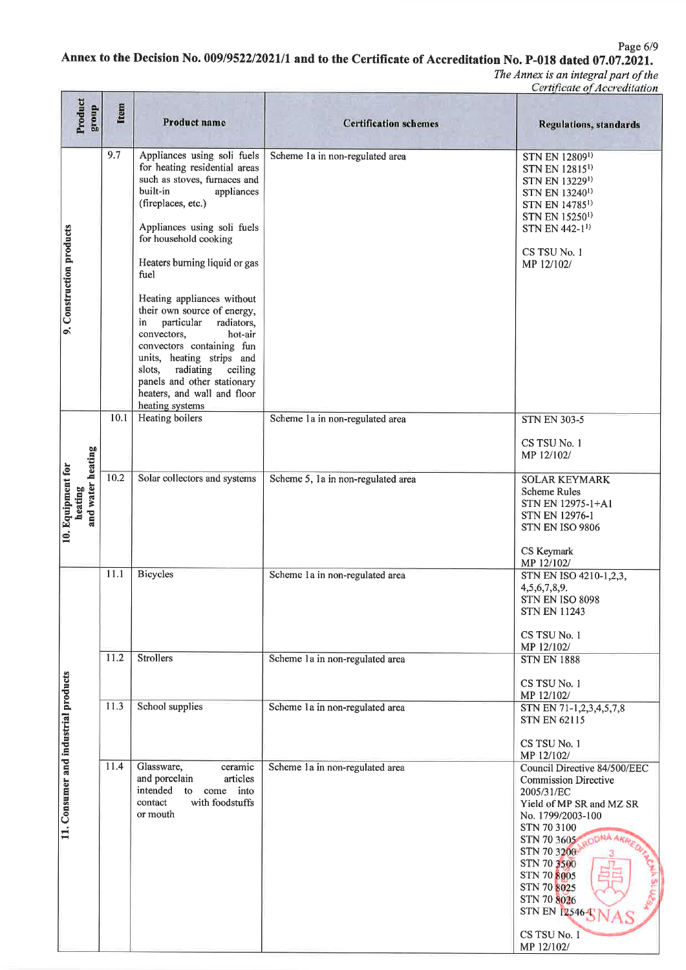Page 6/9

## Annex to the Decision No. 009/9522/2021/1 and to the Certificate of Accreditation No. P-018 dated 07.07.2021.

| Product<br>dno.fa                                 | Item | <b>Product name</b>                                                                                                                                                                                                                                                                                                                                                                                                                                                                                                                                 | <b>Certification schemes</b>       | <b>Regulations, standards</b>                                                                                                                                                                                                                                                                           |
|---------------------------------------------------|------|-----------------------------------------------------------------------------------------------------------------------------------------------------------------------------------------------------------------------------------------------------------------------------------------------------------------------------------------------------------------------------------------------------------------------------------------------------------------------------------------------------------------------------------------------------|------------------------------------|---------------------------------------------------------------------------------------------------------------------------------------------------------------------------------------------------------------------------------------------------------------------------------------------------------|
| 9. Construction products                          | 9.7  | Appliances using soli fuels<br>for heating residential areas<br>such as stoves, furnaces and<br>built-in<br>appliances<br>(fireplaces, etc.)<br>Appliances using soli fuels<br>for household cooking<br>Heaters burning liquid or gas<br>fuel<br>Heating appliances without<br>their own source of energy,<br>particular<br>radiators,<br>in<br>convectors,<br>hot-air<br>convectors containing fun<br>units, heating strips and<br>radiating<br>slots.<br>ceiling<br>panels and other stationary<br>heaters, and wall and floor<br>heating systems | Scheme 1a in non-regulated area    | STN EN 128091)<br>STN EN 12815 <sup>1)</sup><br>STN EN 132291)<br>STN EN 13240 <sup>1)</sup><br>STN EN 14785 <sup>1)</sup><br>STN EN 15250 <sup>1)</sup><br>STN EN 442-1 <sup>1</sup><br>CS TSU No. 1<br>MP 12/102/                                                                                     |
|                                                   | 10.1 | Heating boilers                                                                                                                                                                                                                                                                                                                                                                                                                                                                                                                                     | Scheme 1a in non-regulated area    | <b>STN EN 303-5</b><br>CS TSU No. 1<br>MP 12/102/                                                                                                                                                                                                                                                       |
| and water heating<br>10. Equipment for<br>heating | 10.2 | Solar collectors and systems                                                                                                                                                                                                                                                                                                                                                                                                                                                                                                                        | Scheme 5, 1a in non-regulated area | <b>SOLAR KEYMARK</b><br><b>Scheme Rules</b><br>STN EN 12975-1+A1<br><b>STN EN 12976-1</b><br>STN EN ISO 9806<br>CS Keymark<br>MP 12/102/                                                                                                                                                                |
|                                                   | 11.1 | <b>Bicycles</b>                                                                                                                                                                                                                                                                                                                                                                                                                                                                                                                                     | Scheme 1a in non-regulated area    | STN EN ISO 4210-1,2,3,<br>4,5,6,7,8,9.<br><b>STN EN ISO 8098</b><br>STN EN 11243<br>CS TSU No. 1<br>MP 12/102/                                                                                                                                                                                          |
|                                                   | 11.2 | <b>Strollers</b>                                                                                                                                                                                                                                                                                                                                                                                                                                                                                                                                    | Scheme 1a in non-regulated area    | <b>STN EN 1888</b><br>CS TSU No. 1                                                                                                                                                                                                                                                                      |
|                                                   | 11.3 | School supplies                                                                                                                                                                                                                                                                                                                                                                                                                                                                                                                                     | Scheme 1a in non-regulated area    | MP 12/102/<br>STN EN 71-1,2,3,4,5,7,8<br><b>STN EN 62115</b><br>CS TSU No. 1<br>MP 12/102/                                                                                                                                                                                                              |
| 11. Consumer and industrial products              | 11.4 | Glassware,<br>ceramic<br>and porcelain<br>articles<br>intended<br>to<br>come into<br>with foodstuffs<br>contact<br>or mouth                                                                                                                                                                                                                                                                                                                                                                                                                         | Scheme la in non-regulated area    | Council Directive 84/500/EEC<br><b>Commission Directive</b><br>2005/31/EC<br>Yield of MP SR and MZ SR<br>No. 1799/2003-100<br>STN 70 3100<br>ODNA AKRA<br>STN 70 3605<br>STN 70 3200<br>STN 70 3500<br>STN 70 8005<br>STN 70 8025<br>STN 70 8026<br><b>STN EN 12546-1</b><br>CS TSU No. 1<br>MP 12/102/ |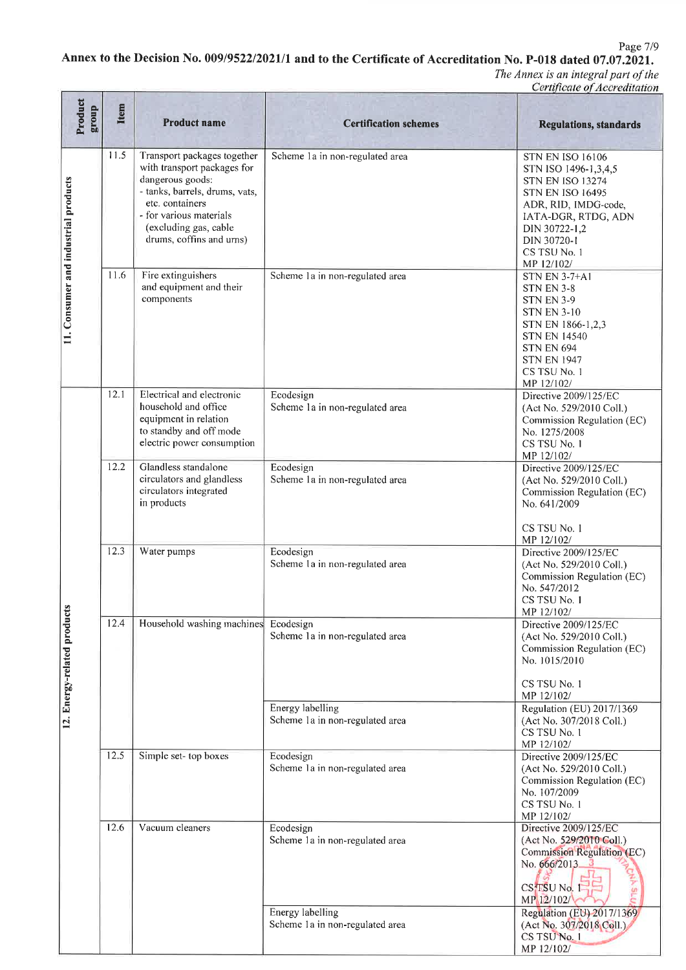Page 7/9

## Annex to the Decision No. 009/9522/2021/1 and to the Certificate of Accreditation No. P-018 dated 07.07.2021.

| Product<br>dno.18                    | <b>Item</b> | <b>Product name</b>                                                                                                                                                                                                 | <b>Certification schemes</b>                               | <b>Regulations, standards</b>                                                                                                                                                                                      |
|--------------------------------------|-------------|---------------------------------------------------------------------------------------------------------------------------------------------------------------------------------------------------------------------|------------------------------------------------------------|--------------------------------------------------------------------------------------------------------------------------------------------------------------------------------------------------------------------|
| 11. Consumer and industrial products | 11.5        | Transport packages together<br>with transport packages for<br>dangerous goods:<br>- tanks, barrels, drums, vats,<br>etc. containers<br>- for various materials<br>(excluding gas, cable<br>drums, coffins and urns) | Scheme 1a in non-regulated area                            | <b>STN EN ISO 16106</b><br>STN ISO 1496-1,3,4,5<br><b>STN EN ISO 13274</b><br><b>STN EN ISO 16495</b><br>ADR, RID, IMDG-code,<br>IATA-DGR, RTDG, ADN<br>DIN 30722-1,2<br>DIN 30720-1<br>CS TSU No. 1<br>MP 12/102/ |
|                                      | 11.6        | Fire extinguishers<br>and equipment and their<br>components                                                                                                                                                         | Scheme 1a in non-regulated area                            | <b>STN EN 3-7+A1</b><br><b>STN EN 3-8</b><br><b>STN EN 3-9</b><br><b>STN EN 3-10</b><br>STN EN 1866-1,2,3<br><b>STN EN 14540</b><br><b>STN EN 694</b><br><b>STN EN 1947</b><br>CS TSU No. 1<br>MP 12/102/          |
|                                      | 12.1        | Electrical and electronic<br>household and office<br>equipment in relation<br>to standby and off mode<br>electric power consumption                                                                                 | Ecodesign<br>Scheme 1a in non-regulated area               | Directive 2009/125/EC<br>(Act No. 529/2010 Coll.)<br>Commission Regulation (EC)<br>No. 1275/2008<br>CS TSU No. 1<br>MP 12/102/                                                                                     |
|                                      | 12.2        | Glandless standalone<br>circulators and glandless<br>circulators integrated<br>in products                                                                                                                          | Ecodesign<br>Scheme 1a in non-regulated area               | Directive 2009/125/EC<br>(Act No. 529/2010 Coll.)<br>Commission Regulation (EC)<br>No. 641/2009<br>CS TSU No. 1                                                                                                    |
| Ø.<br>12. Energy-related product     | 12.3        | Water pumps                                                                                                                                                                                                         | Ecodesign<br>Scheme la in non-regulated area               | MP 12/102/<br>Directive 2009/125/EC<br>(Act No. 529/2010 Coll.)<br>Commission Regulation (EC)<br>No. 547/2012<br>CS TSU No. 1                                                                                      |
|                                      | 12.4        | Household washing machines                                                                                                                                                                                          | Ecodesign<br>Scheme 1a in non-regulated area               | MP 12/102/<br>Directive 2009/125/EC<br>(Act No. 529/2010 Coll.)<br>Commission Regulation (EC)<br>No. 1015/2010<br>CS TSU No. 1<br>MP 12/102/                                                                       |
|                                      |             |                                                                                                                                                                                                                     | Energy labelling<br>Scheme 1a in non-regulated area        | Regulation (EU) 2017/1369<br>(Act No. 307/2018 Coll.)<br>CS TSU No. 1<br>MP 12/102/                                                                                                                                |
|                                      | 12.5        | Simple set-top boxes                                                                                                                                                                                                | Ecodesign<br>Scheme 1a in non-regulated area               | Directive 2009/125/EC<br>(Act No. 529/2010 Coll.)<br>Commission Regulation (EC)<br>No. 107/2009<br>CS TSU No. 1<br>MP 12/102/                                                                                      |
|                                      | 12.6        | Vacuum cleaners                                                                                                                                                                                                     | Ecodesign<br>Scheme 1a in non-regulated area               | Directive 2009/125/EC<br>(Act No. 529/2010 Coll.)<br>Commission Regulation (EC)<br>No. 666/2013<br>$CS$ TSU No. 1<br>MP 12/102/                                                                                    |
|                                      |             |                                                                                                                                                                                                                     | <b>Energy labelling</b><br>Scheme 1a in non-regulated area | Regulation (EU) 2017/1369<br>(Act No. 307/2018 Coll.)<br>CS TSU No. 1<br>MP 12/102/                                                                                                                                |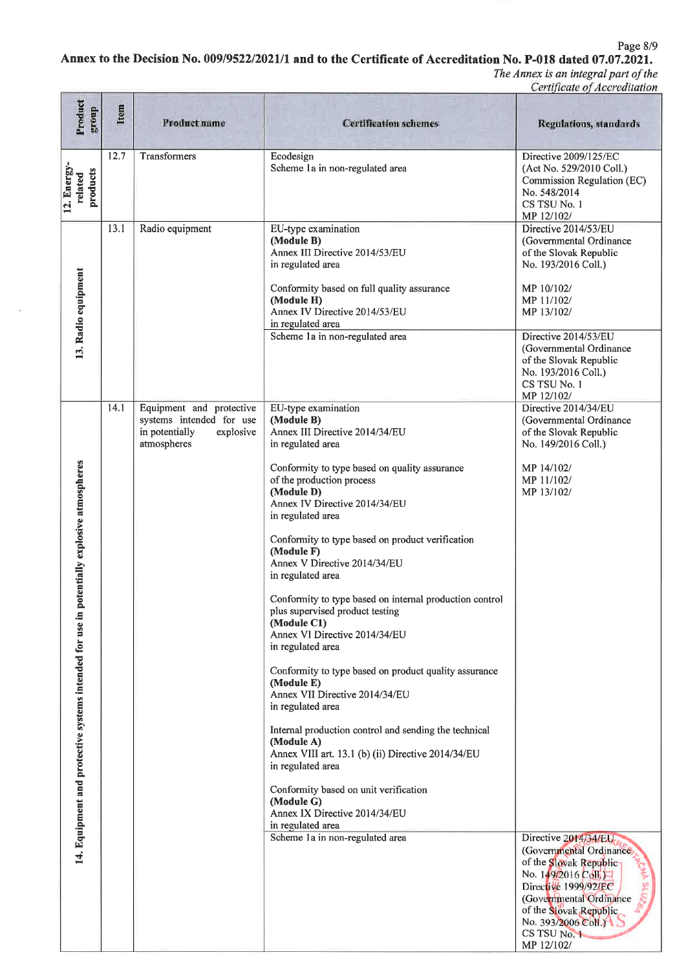Page 8/9

#### Annex to the Decision No. 009/9522/2021/1 and to the Certificate of Accreditation No. P-018 dated 07.07.2021.

 $\overline{\phantom{a}}$ 

| Product<br>group                                                                              | Item         | <b>Product name</b>                                                    | <b>Certification schemes</b>                                                                                                                                                                                                                                                                                                                                                                                                                                                                                                                                                                                                                                                                                                                                                                                                                                                                                                                  | <b>Regulations, standards</b>                                                                                                                                                                                                                                                                                                                                             |
|-----------------------------------------------------------------------------------------------|--------------|------------------------------------------------------------------------|-----------------------------------------------------------------------------------------------------------------------------------------------------------------------------------------------------------------------------------------------------------------------------------------------------------------------------------------------------------------------------------------------------------------------------------------------------------------------------------------------------------------------------------------------------------------------------------------------------------------------------------------------------------------------------------------------------------------------------------------------------------------------------------------------------------------------------------------------------------------------------------------------------------------------------------------------|---------------------------------------------------------------------------------------------------------------------------------------------------------------------------------------------------------------------------------------------------------------------------------------------------------------------------------------------------------------------------|
| 12. Energy-<br>products<br>related                                                            | 12.7         | Transformers                                                           | Ecodesign<br>Scheme 1a in non-regulated area                                                                                                                                                                                                                                                                                                                                                                                                                                                                                                                                                                                                                                                                                                                                                                                                                                                                                                  | Directive 2009/125/EC<br>(Act No. 529/2010 Coll.)<br>Commission Regulation (EC)<br>No. 548/2014<br>CS TSU No. 1<br>MP 12/102/                                                                                                                                                                                                                                             |
| 13. Radio equipment                                                                           | 13.1<br>14.1 | Radio equipment<br>Equipment and protective                            | EU-type examination<br>(Module B)<br>Annex III Directive 2014/53/EU<br>in regulated area<br>Conformity based on full quality assurance<br>(Module H)<br>Annex IV Directive 2014/53/EU<br>in regulated area<br>Scheme 1a in non-regulated area<br>EU-type examination                                                                                                                                                                                                                                                                                                                                                                                                                                                                                                                                                                                                                                                                          | Directive 2014/53/EU<br>(Governmental Ordinance<br>of the Slovak Republic<br>No. 193/2016 Coll.)<br>MP 10/102/<br>MP 11/102/<br>MP 13/102/<br>Directive 2014/53/EU<br>(Governmental Ordinance<br>of the Slovak Republic<br>No. 193/2016 Coll.)<br>CS TSU No. 1<br>MP 12/102/<br>Directive 2014/34/EU                                                                      |
| potentially explosive atmospheres<br>14. Equipment and protective systems intended for use in |              | systems intended for use<br>in potentially<br>explosive<br>atmospheres | (Module B)<br>Annex III Directive 2014/34/EU<br>in regulated area<br>Conformity to type based on quality assurance<br>of the production process<br>(Module D)<br>Annex IV Directive 2014/34/EU<br>in regulated area<br>Conformity to type based on product verification<br>(Module F)<br>Annex V Directive 2014/34/EU<br>in regulated area<br>Conformity to type based on internal production control<br>plus supervised product testing<br>(Module C1)<br>Annex VI Directive 2014/34/EU<br>in regulated area<br>Conformity to type based on product quality assurance<br>(Module E)<br>Annex VII Directive 2014/34/EU<br>in regulated area<br>Internal production control and sending the technical<br>(Module A)<br>Annex VIII art. 13.1 (b) (ii) Directive 2014/34/EU<br>in regulated area<br>Conformity based on unit verification<br>(Module G)<br>Annex IX Directive 2014/34/EU<br>in regulated area<br>Scheme 1a in non-regulated area | (Governmental Ordinance<br>of the Slovak Republic<br>No. 149/2016 Coll.)<br>MP 14/102/<br>MP 11/102/<br>MP 13/102/<br>Directive 2014/34/EU<br>(Governmental Ordinance)<br>of the Slovak Republic<br>No. 149/2016 Coll.<br><b>AJIS Y</b><br>Directive 1999/92/EC<br>(Governmental Ordinance<br>of the Slovak Republic<br>No. 393/2006 Coll.)<br>CS TSU No. 1<br>MP 12/102/ |